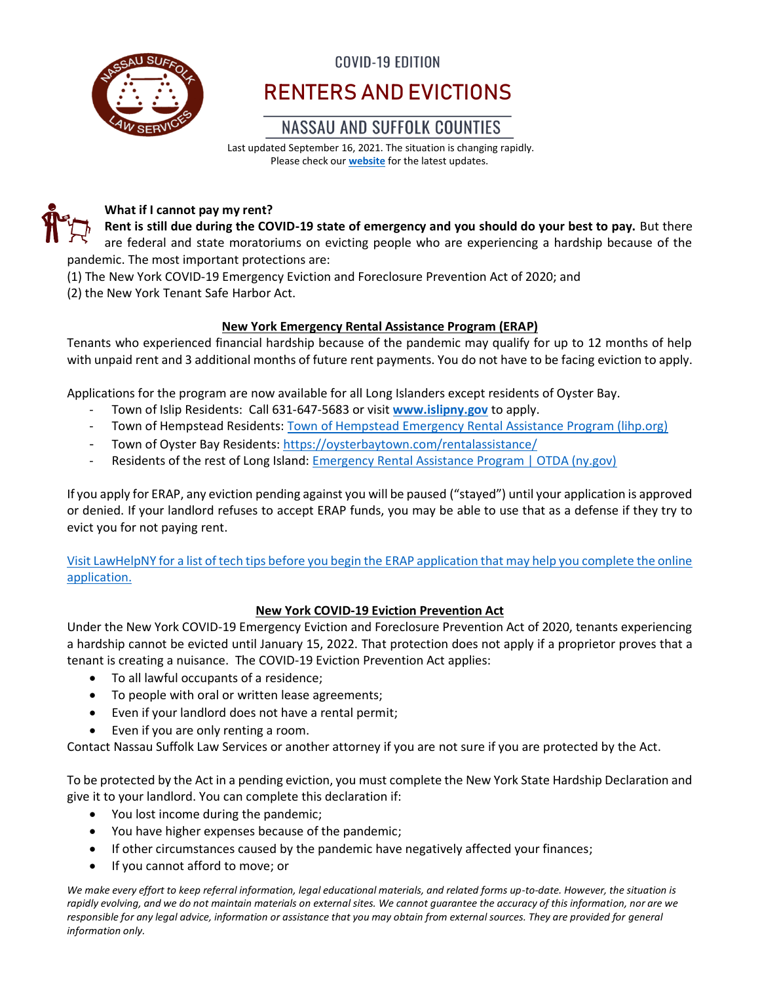

### COVID-19 EDITION

# RENTERS AND EVICTIONS

### **NASSAU AND SUFFOLK COUNTIES**

Last updated September 16, 2021. The situation is changing rapidly. Please check our **[website](http://www.nslawservices.org/)** for the latest updates.



### **What if I cannot pay my rent?**

**Rent is still due during the COVID-19 state of emergency and you should do your best to pay.** But there are federal and state moratoriums on evicting people who are experiencing a hardship because of the pandemic. The most important protections are:

(1) The New York COVID-19 Emergency Eviction and Foreclosure Prevention Act of 2020; and

(2) the New York Tenant Safe Harbor Act.

### **New York Emergency Rental Assistance Program (ERAP)**

Tenants who experienced financial hardship because of the pandemic may qualify for up to 12 months of help with unpaid rent and 3 additional months of future rent payments. You do not have to be facing eviction to apply.

Applications for the program are now available for all Long Islanders except residents of Oyster Bay.

- Town of Islip Residents: Call 631-647-5683 or visit **[www.islipny.gov](http://www.islipny.gov/)** to apply.
- Town of Hempstead Residents: [Town of Hempstead Emergency Rental Assistance Program \(lihp.org\)](https://www.lihp.org/herapintake.html)
- Town of Oyster Bay Residents:<https://oysterbaytown.com/rentalassistance/>
- Residents of the rest of Long Island: [Emergency Rental Assistance Program | OTDA \(ny.gov\)](https://otda.ny.gov/programs/Emergency-Rental-Assistance/)

If you apply for ERAP, any eviction pending against you will be paused ("stayed") until your application is approved or denied. If your landlord refuses to accept ERAP funds, you may be able to use that as a defense if they try to evict you for not paying rent.

[Visit LawHelpNY for a list of tech tips before you begin the ERAP application that may help you complete the online](https://www.lawhelpny.org/resource/ny-state-emergency-rental-assistance-program)  [application.](https://www.lawhelpny.org/resource/ny-state-emergency-rental-assistance-program)

### **New York COVID-19 Eviction Prevention Act**

Under the New York COVID-19 Emergency Eviction and Foreclosure Prevention Act of 2020, tenants experiencing a hardship cannot be evicted until January 15, 2022. That protection does not apply if a proprietor proves that a tenant is creating a nuisance. The COVID-19 Eviction Prevention Act applies:

- To all lawful occupants of a residence;
- To people with oral or written lease agreements;
- Even if your landlord does not have a rental permit;
- Even if you are only renting a room.

Contact Nassau Suffolk Law Services or another attorney if you are not sure if you are protected by the Act.

To be protected by the Act in a pending eviction, you must complete the New York State Hardship Declaration and give it to your landlord. You can complete this declaration if:

- You lost income during the pandemic;
- You have higher expenses because of the pandemic;
- If other circumstances caused by the pandemic have negatively affected your finances;
- If you cannot afford to move; or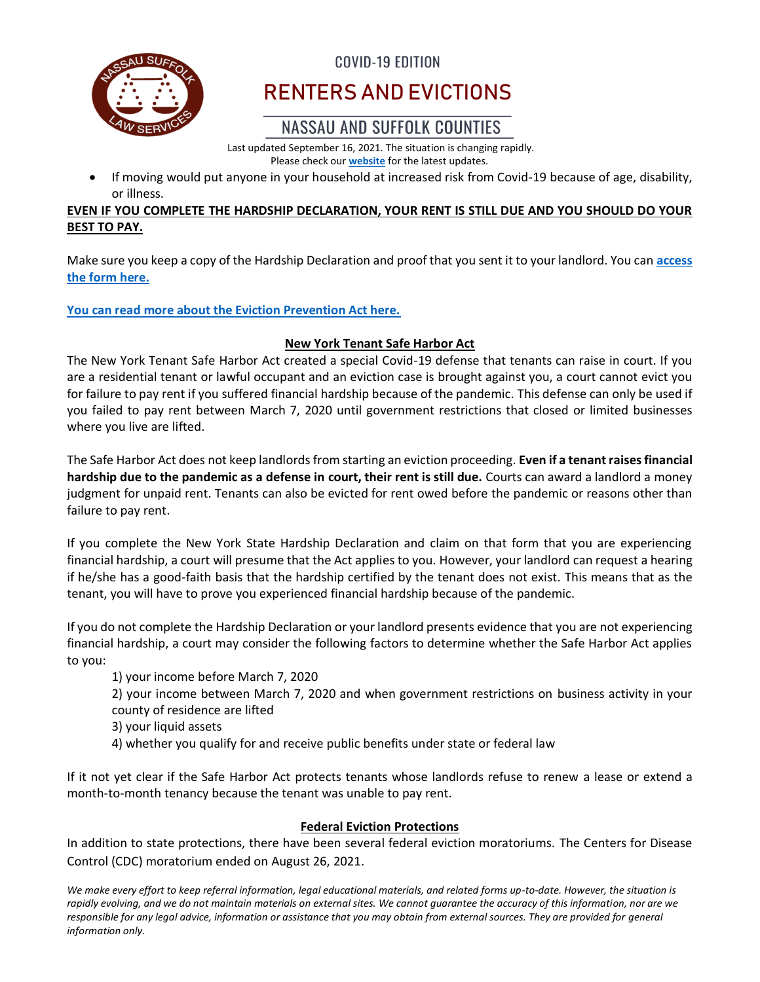

### COVID-19 EDITION

# RENTERS AND EVICTIONS

## NASSAU AND SUFFOLK COUNTIES

Last updated September 16, 2021. The situation is changing rapidly. Please check our **[website](http://www.nslawservices.org/)** for the latest updates.

• If moving would put anyone in your household at increased risk from Covid-19 because of age, disability, or illness.

### **EVEN IF YOU COMPLETE THE HARDSHIP DECLARATION, YOUR RENT IS STILL DUE AND YOU SHOULD DO YOUR BEST TO PAY.**

Make sure you keep a copy of the Hardship Declaration and proof that you sent it to your landlord. You can **[access](http://www.nycourts.gov/courts/nyc/SSI/images/corona/HardshipDeclaration.pdf)  [the form here.](http://www.nycourts.gov/courts/nyc/SSI/images/corona/HardshipDeclaration.pdf)**

### **[You can read more about the Eviction Prevention Act here.](https://www.nycourts.gov/covid-eefpa.shtml)**

### **New York Tenant Safe Harbor Act**

The New York Tenant Safe Harbor Act created a special Covid-19 defense that tenants can raise in court. If you are a residential tenant or lawful occupant and an eviction case is brought against you, a court cannot evict you for failure to pay rent if you suffered financial hardship because of the pandemic. This defense can only be used if you failed to pay rent between March 7, 2020 until government restrictions that closed or limited businesses where you live are lifted.

The Safe Harbor Act does not keep landlords from starting an eviction proceeding. **Even if a tenant raises financial hardship due to the pandemic as a defense in court, their rent is still due.** Courts can award a landlord a money judgment for unpaid rent. Tenants can also be evicted for rent owed before the pandemic or reasons other than failure to pay rent.

If you complete the New York State Hardship Declaration and claim on that form that you are experiencing financial hardship, a court will presume that the Act applies to you. However, your landlord can request a hearing if he/she has a good-faith basis that the hardship certified by the tenant does not exist. This means that as the tenant, you will have to prove you experienced financial hardship because of the pandemic.

If you do not complete the Hardship Declaration or your landlord presents evidence that you are not experiencing financial hardship, a court may consider the following factors to determine whether the Safe Harbor Act applies to you:

1) your income before March 7, 2020

2) your income between March 7, 2020 and when government restrictions on business activity in your county of residence are lifted

- 3) your liquid assets
- 4) whether you qualify for and receive public benefits under state or federal law

If it not yet clear if the Safe Harbor Act protects tenants whose landlords refuse to renew a lease or extend a month-to-month tenancy because the tenant was unable to pay rent.

### **Federal Eviction Protections**

In addition to state protections, there have been several federal eviction moratoriums. The Centers for Disease Control (CDC) moratorium ended on August 26, 2021.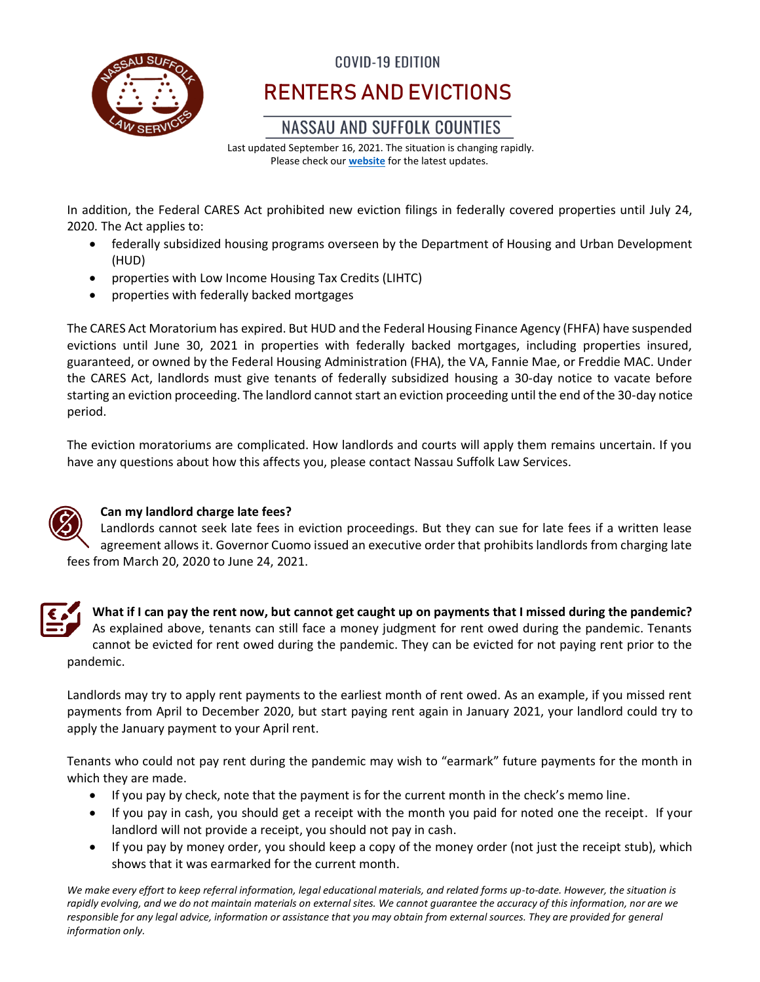

# COVID-19 EDITION RENTERS AND EVICTIONS

### **NASSAU AND SUFFOLK COUNTIES**

Last updated September 16, 2021. The situation is changing rapidly. Please check our **[website](http://www.nslawservices.org/)** for the latest updates.

In addition, the Federal CARES Act prohibited new eviction filings in federally covered properties until July 24, 2020. The Act applies to:

- federally subsidized housing programs overseen by the Department of Housing and Urban Development (HUD)
- properties with Low Income Housing Tax Credits (LIHTC)
- properties with federally backed mortgages

The CARES Act Moratorium has expired. But HUD and the Federal Housing Finance Agency (FHFA) have suspended evictions until June 30, 2021 in properties with federally backed mortgages, including properties insured, guaranteed, or owned by the Federal Housing Administration (FHA), the VA, Fannie Mae, or Freddie MAC. Under the CARES Act, landlords must give tenants of federally subsidized housing a 30-day notice to vacate before starting an eviction proceeding. The landlord cannot start an eviction proceeding until the end of the 30-day notice period.

The eviction moratoriums are complicated. How landlords and courts will apply them remains uncertain. If you have any questions about how this affects you, please contact Nassau Suffolk Law Services.



### **Can my landlord charge late fees?**

Landlords cannot seek late fees in eviction proceedings. But they can sue for late fees if a written lease agreement allows it. Governor Cuomo issued an executive order that prohibits landlords from charging late fees from March 20, 2020 to June 24, 2021.



**What if I can pay the rent now, but cannot get caught up on payments that I missed during the pandemic?** As explained above, tenants can still face a money judgment for rent owed during the pandemic. Tenants cannot be evicted for rent owed during the pandemic. They can be evicted for not paying rent prior to the pandemic.

Landlords may try to apply rent payments to the earliest month of rent owed. As an example, if you missed rent payments from April to December 2020, but start paying rent again in January 2021, your landlord could try to apply the January payment to your April rent.

Tenants who could not pay rent during the pandemic may wish to "earmark" future payments for the month in which they are made.

- If you pay by check, note that the payment is for the current month in the check's memo line.
- If you pay in cash, you should get a receipt with the month you paid for noted one the receipt. If your landlord will not provide a receipt, you should not pay in cash.
- If you pay by money order, you should keep a copy of the money order (not just the receipt stub), which shows that it was earmarked for the current month.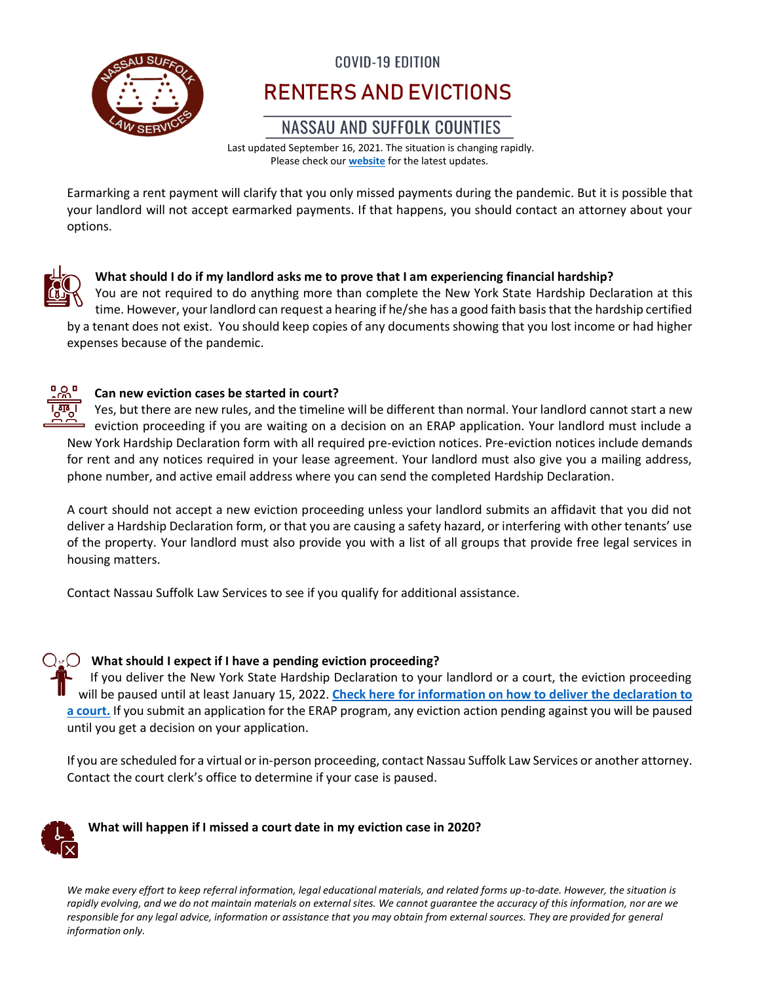

# **COVID-19 EDITION** RENTERS AND EVICTIONS

## NASSAU AND SUFFOLK COUNTIES

Last updated September 16, 2021. The situation is changing rapidly. Please check our **[website](http://www.nslawservices.org/)** for the latest updates.

Earmarking a rent payment will clarify that you only missed payments during the pandemic. But it is possible that your landlord will not accept earmarked payments. If that happens, you should contact an attorney about your options.



### **What should I do if my landlord asks me to prove that I am experiencing financial hardship?**

You are not required to do anything more than complete the New York State Hardship Declaration at this time. However, your landlord can request a hearing if he/she has a good faith basis that the hardship certified by a tenant does not exist. You should keep copies of any documents showing that you lost income or had higher expenses because of the pandemic.



### **Can new eviction cases be started in court?**

Yes, but there are new rules, and the timeline will be different than normal. Your landlord cannot start a new eviction proceeding if you are waiting on a decision on an ERAP application. Your landlord must include a New York Hardship Declaration form with all required pre-eviction notices. Pre-eviction notices include demands for rent and any notices required in your lease agreement. Your landlord must also give you a mailing address, phone number, and active email address where you can send the completed Hardship Declaration.

A court should not accept a new eviction proceeding unless your landlord submits an affidavit that you did not deliver a Hardship Declaration form, or that you are causing a safety hazard, or interfering with other tenants' use of the property. Your landlord must also provide you with a list of all groups that provide free legal services in housing matters.

Contact Nassau Suffolk Law Services to see if you qualify for additional assistance.

**What should I expect if I have a pending eviction proceeding?** If you deliver the New York State Hardship Declaration to your landlord or a court, the eviction proceeding will be paused until at least January 15, 2022. **[Check here for information on how to deliver the declaration to](https://www.nycourts.gov/eefpa/PDF/HardshipDeclarationCopy-1.8.pdf)  [a court.](https://www.nycourts.gov/eefpa/PDF/HardshipDeclarationCopy-1.8.pdf)** If you submit an application for the ERAP program, any eviction action pending against you will be paused until you get a decision on your application.

If you are scheduled for a virtual or in-person proceeding, contact Nassau Suffolk Law Services or another attorney. Contact the court clerk's office to determine if your case is paused.



### **What will happen if I missed a court date in my eviction case in 2020?**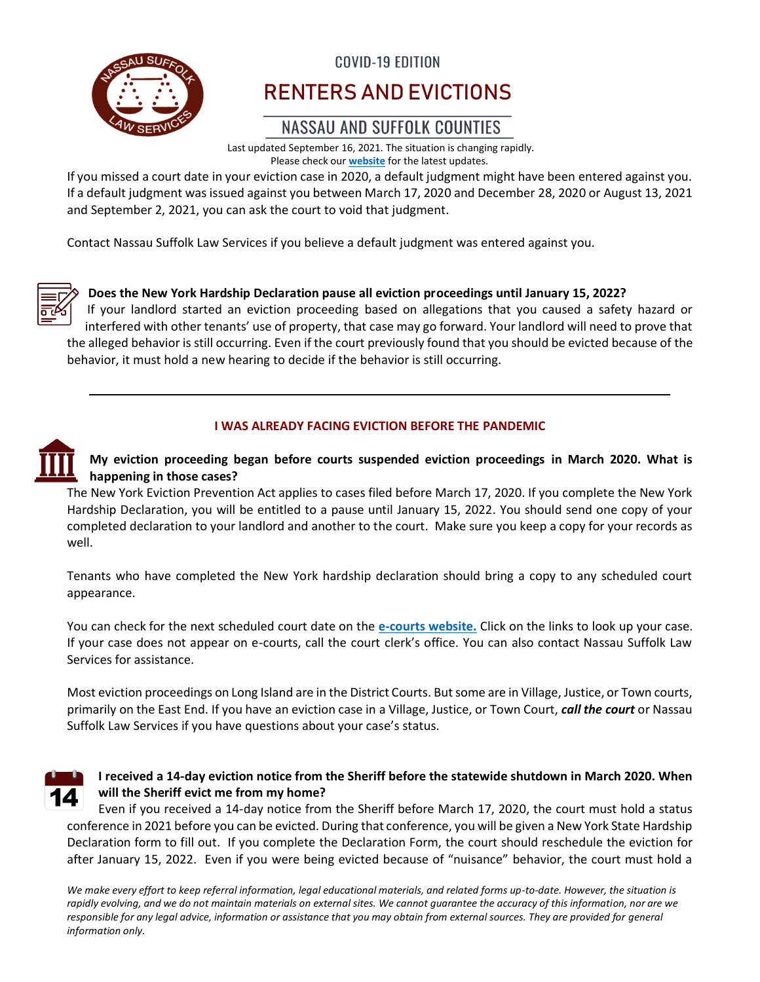

# **COVID-19 EDITION** RENTERS AND EVICTIONS

## NASSAU AND SUFFOLK COUNTIES

Last updated September 16, 2021. The situation is changing rapidly. Please check our **[website](http://www.nslawservices.org/)** for the latest updates.

If you missed a court date in your eviction case in 2020, a default judgment might have been entered against you. If a default judgment was issued against you between March 17, 2020 and December 28, 2020 or August 13, 2021 and September 2, 2021, you can ask the court to void that judgment.

Contact Nassau Suffolk Law Services if you believe a default judgment was entered against you.



### **Does the New York Hardship Declaration pause all eviction proceedings until January 15, 2022?**

If your landlord started an eviction proceeding based on allegations that you caused a safety hazard or interfered with other tenants' use of property, that case may go forward. Your landlord will need to prove that the alleged behavior is still occurring. Even if the court previously found that you should be evicted because of the behavior, it must hold a new hearing to decide if the behavior is still occurring.

### **I WAS ALREADY FACING EVICTION BEFORE THE PANDEMIC**



**My eviction proceeding began before courts suspended eviction proceedings in March 2020. What is happening in those cases?**

The New York Eviction Prevention Act applies to cases filed before March 17, 2020. If you complete the New York Hardship Declaration, you will be entitled to a pause until January 15, 2022. You should send one copy of your completed declaration to your landlord and another to the court. Make sure you keep a copy for your records as well.

Tenants who have completed the New York hardship declaration should bring a copy to any scheduled court appearance.

You can check for the next scheduled court date on the **[e-courts website.](https://iapps.courts.state.ny.us/webcivilLocal/LCMain)** Click on the links to look up your case. If your case does not appear on e-courts, call the court clerk's office. You can also contact Nassau Suffolk Law Services for assistance.

Most eviction proceedings on Long Island are in the District Courts. But some are in Village, Justice, or Town courts, primarily on the East End. If you have an eviction case in a Village, Justice, or Town Court, *call the court* or Nassau Suffolk Law Services if you have questions about your case's status.



### **I received a 14-day eviction notice from the Sheriff before the statewide shutdown in March 2020. When will the Sheriff evict me from my home?**

Even if you received a 14-day notice from the Sheriff before March 17, 2020, the court must hold a status conference in 2021 before you can be evicted. During that conference, you will be given a New York State Hardship Declaration form to fill out. If you complete the Declaration Form, the court should reschedule the eviction for after January 15, 2022. Even if you were being evicted because of "nuisance" behavior, the court must hold a